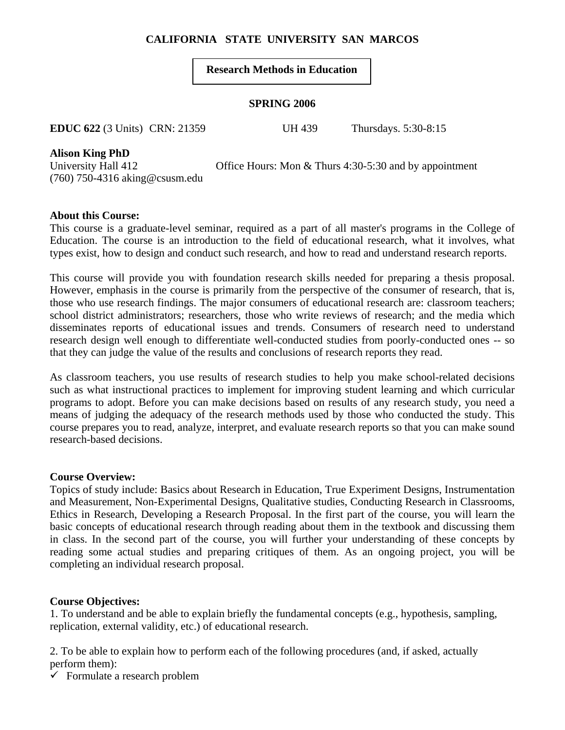# **CALIFORNIA STATE UNIVERSITY SAN MARCOS**

## **Research Methods in Education**

### **SPRING 2006**

**EDUC 622** (3 Units) CRN: 21359 UH 439 Thursdays. 5:30-8:15

**Alison King PhD** 

(760) 750-4316 aking@csusm.edu

University Hall 412 Office Hours: Mon & Thurs 4:30-5:30 and by appointment

## **About this Course:**

This course is a graduate-level seminar, required as a part of all master's programs in the College of Education. The course is an introduction to the field of educational research, what it involves, what types exist, how to design and conduct such research, and how to read and understand research reports.

This course will provide you with foundation research skills needed for preparing a thesis proposal. However, emphasis in the course is primarily from the perspective of the consumer of research, that is, those who use research findings. The major consumers of educational research are: classroom teachers; school district administrators; researchers, those who write reviews of research; and the media which disseminates reports of educational issues and trends. Consumers of research need to understand research design well enough to differentiate well-conducted studies from poorly-conducted ones -- so that they can judge the value of the results and conclusions of research reports they read.

As classroom teachers, you use results of research studies to help you make school-related decisions such as what instructional practices to implement for improving student learning and which curricular programs to adopt. Before you can make decisions based on results of any research study, you need a means of judging the adequacy of the research methods used by those who conducted the study. This course prepares you to read, analyze, interpret, and evaluate research reports so that you can make sound research-based decisions.

## **Course Overview:**

Topics of study include: Basics about Research in Education, True Experiment Designs, Instrumentation and Measurement, Non-Experimental Designs, Qualitative studies, Conducting Research in Classrooms, Ethics in Research, Developing a Research Proposal. In the first part of the course, you will learn the basic concepts of educational research through reading about them in the textbook and discussing them in class. In the second part of the course, you will further your understanding of these concepts by reading some actual studies and preparing critiques of them. As an ongoing project, you will be completing an individual research proposal.

## **Course Objectives:**

1. To understand and be able to explain briefly the fundamental concepts (e.g., hypothesis, sampling, replication, external validity, etc.) of educational research.

2. To be able to explain how to perform each of the following procedures (and, if asked, actually perform them):

 $\checkmark$  Formulate a research problem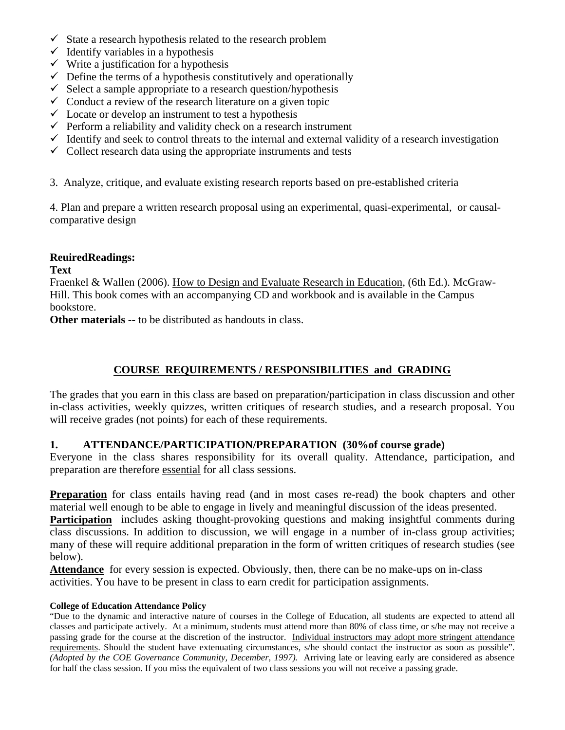- $\checkmark$  State a research hypothesis related to the research problem
- $\checkmark$  Identify variables in a hypothesis
- $\checkmark$  Write a justification for a hypothesis
- $\checkmark$  Define the terms of a hypothesis constitutively and operationally
- $\checkmark$  Select a sample appropriate to a research question/hypothesis
- $\checkmark$  Conduct a review of the research literature on a given topic
- $\checkmark$  Locate or develop an instrument to test a hypothesis
- $\checkmark$  Perform a reliability and validity check on a research instrument
- $\checkmark$  Identify and seek to control threats to the internal and external validity of a research investigation
- $\checkmark$  Collect research data using the appropriate instruments and tests
- 3. Analyze, critique, and evaluate existing research reports based on pre-established criteria

4. Plan and prepare a written research proposal using an experimental, quasi-experimental, or causalcomparative design

## **ReuiredReadings:**

## **Text**

Fraenkel & Wallen (2006). How to Design and Evaluate Research in Education, (6th Ed.). McGraw-Hill. This book comes with an accompanying CD and workbook and is available in the Campus bookstore.

**Other materials** -- to be distributed as handouts in class.

# **COURSE REQUIREMENTS / RESPONSIBILITIES and GRADING**

The grades that you earn in this class are based on preparation/participation in class discussion and other in-class activities, weekly quizzes, written critiques of research studies, and a research proposal. You will receive grades (not points) for each of these requirements.

## **1. ATTENDANCE/PARTICIPATION/PREPARATION (30%of course grade)**

Everyone in the class shares responsibility for its overall quality. Attendance, participation, and preparation are therefore essential for all class sessions.

**Preparation** for class entails having read (and in most cases re-read) the book chapters and other material well enough to be able to engage in lively and meaningful discussion of the ideas presented.

**Participation** includes asking thought-provoking questions and making insightful comments during class discussions. In addition to discussion, we will engage in a number of in-class group activities; many of these will require additional preparation in the form of written critiques of research studies (see below).

**Attendance** for every session is expected. Obviously, then, there can be no make-ups on in-class activities. You have to be present in class to earn credit for participation assignments.

#### **College of Education Attendance Policy**

"Due to the dynamic and interactive nature of courses in the College of Education, all students are expected to attend all classes and participate actively. At a minimum, students must attend more than 80% of class time, or s/he may not receive a passing grade for the course at the discretion of the instructor. Individual instructors may adopt more stringent attendance requirements. Should the student have extenuating circumstances, s/he should contact the instructor as soon as possible". *(Adopted by the COE Governance Community, December, 1997).* Arriving late or leaving early are considered as absence for half the class session. If you miss the equivalent of two class sessions you will not receive a passing grade.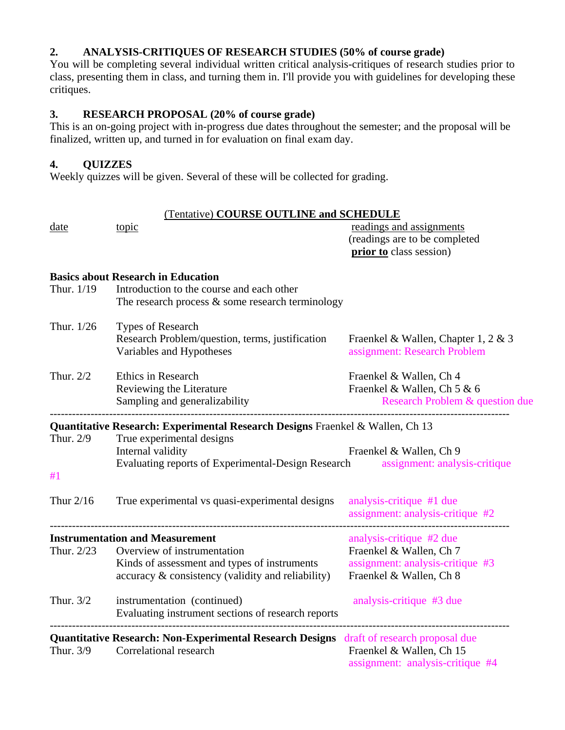# **2. ANALYSIS-CRITIQUES OF RESEARCH STUDIES (50% of course grade)**

You will be completing several individual written critical analysis-critiques of research studies prior to class, presenting them in class, and turning them in. I'll provide you with guidelines for developing these critiques.

## **3. RESEARCH PROPOSAL (20% of course grade)**

This is an on-going project with in-progress due dates throughout the semester; and the proposal will be finalized, written up, and turned in for evaluation on final exam day.

# **4. QUIZZES**

Weekly quizzes will be given. Several of these will be collected for grading.

| date        | (Tentative) COURSE OUTLINE and SCHEDULE<br>topic                                                                                   | readings and assignments<br>(readings are to be completed<br>prior to class session)                  |
|-------------|------------------------------------------------------------------------------------------------------------------------------------|-------------------------------------------------------------------------------------------------------|
|             | <b>Basics about Research in Education</b>                                                                                          |                                                                                                       |
| Thur. 1/19  | Introduction to the course and each other<br>The research process $\&$ some research terminology                                   |                                                                                                       |
| Thur. 1/26  | Types of Research<br>Research Problem/question, terms, justification<br>Variables and Hypotheses                                   | Fraenkel & Wallen, Chapter 1, 2 & 3<br>assignment: Research Problem                                   |
| Thur. 2/2   | <b>Ethics in Research</b><br>Reviewing the Literature<br>Sampling and generalizability                                             | Fraenkel & Wallen, Ch 4<br>Fraenkel & Wallen, Ch 5 & 6<br>Research Problem & question due             |
|             | Quantitative Research: Experimental Research Designs Fraenkel & Wallen, Ch 13                                                      |                                                                                                       |
| Thur. 2/9   | True experimental designs<br>Internal validity<br>Evaluating reports of Experimental-Design Research assignment: analysis-critique | Fraenkel & Wallen, Ch 9                                                                               |
| #1          |                                                                                                                                    |                                                                                                       |
| Thur $2/16$ | True experimental vs quasi-experimental designs                                                                                    | analysis-critique #1 due<br>assignment: analysis-critique #2                                          |
|             | <b>Instrumentation and Measurement</b>                                                                                             | analysis-critique #2 due                                                                              |
| Thur. 2/23  | Overview of instrumentation<br>Kinds of assessment and types of instruments<br>accuracy & consistency (validity and reliability)   | Fraenkel & Wallen, Ch 7<br>assignment: analysis-critique #3<br>Fraenkel & Wallen, Ch 8                |
| Thur. $3/2$ | instrumentation (continued)<br>Evaluating instrument sections of research reports                                                  | analysis-critique #3 due                                                                              |
| Thur. 3/9   | <b>Quantitative Research: Non-Experimental Research Designs</b> draft of research proposal due<br>Correlational research           | -------------------------------------<br>Fraenkel & Wallen, Ch 15<br>assignment: analysis-critique #4 |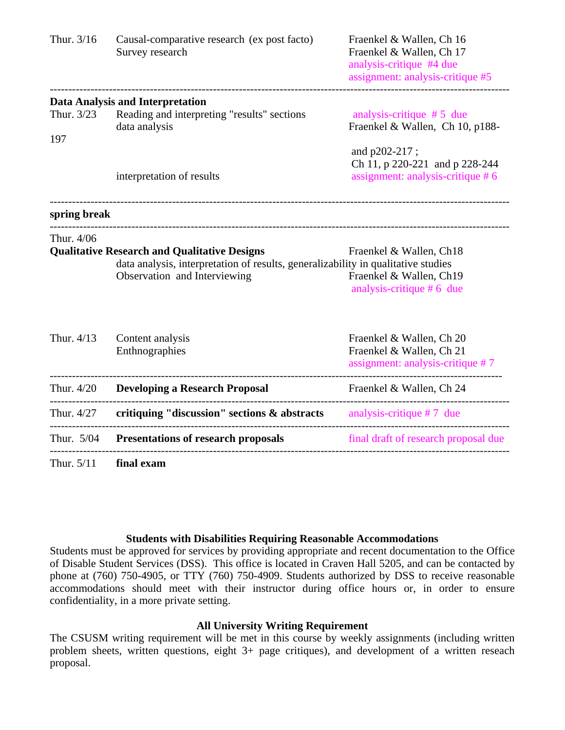| Thur. 3/16        | Causal-comparative research (ex post facto)<br>Survey research                                                                                                           | Fraenkel & Wallen, Ch 16<br>Fraenkel & Wallen, Ch 17<br>analysis-critique #4 due<br>assignment: analysis-critique #5 |
|-------------------|--------------------------------------------------------------------------------------------------------------------------------------------------------------------------|----------------------------------------------------------------------------------------------------------------------|
| Thur. 3/23<br>197 | <b>Data Analysis and Interpretation</b><br>Reading and interpreting "results" sections<br>data analysis                                                                  | analysis-critique $# 5$ due<br>Fraenkel & Wallen, Ch 10, p188-                                                       |
|                   | interpretation of results                                                                                                                                                | and p202-217;<br>Ch 11, p 220-221 and p 228-244<br>assignment: analysis-critique #6                                  |
| spring break      |                                                                                                                                                                          |                                                                                                                      |
| Thur. 4/06        | <b>Qualitative Research and Qualitative Designs</b><br>data analysis, interpretation of results, generalizability in qualitative studies<br>Observation and Interviewing | Fraenkel & Wallen, Ch18<br>Fraenkel & Wallen, Ch19<br>analysis-critique $# 6$ due                                    |
| Thur. 4/13        | Content analysis<br>Enthnographies                                                                                                                                       | Fraenkel & Wallen, Ch 20<br>Fraenkel & Wallen, Ch 21<br>assignment: analysis-critique #7                             |
| Thur. 4/20        | <b>Developing a Research Proposal</b>                                                                                                                                    | Fraenkel & Wallen, Ch 24                                                                                             |
| Thur. 4/27        | critiquing "discussion" sections $\&$ abstracts analysis-critique #7 due                                                                                                 | . _ _ _ _ _ _ _ _ _ _                                                                                                |
| Thur. 5/04        | <b>Presentations of research proposals</b>                                                                                                                               | final draft of research proposal due                                                                                 |
| Thur. 5/11        | final exam                                                                                                                                                               |                                                                                                                      |

#### **Students with Disabilities Requiring Reasonable Accommodations**

Students must be approved for services by providing appropriate and recent documentation to the Office of Disable Student Services (DSS). This office is located in Craven Hall 5205, and can be contacted by phone at (760) 750-4905, or TTY (760) 750-4909. Students authorized by DSS to receive reasonable accommodations should meet with their instructor during office hours or, in order to ensure confidentiality, in a more private setting.

### **All University Writing Requirement**

The CSUSM writing requirement will be met in this course by weekly assignments (including written problem sheets, written questions, eight 3+ page critiques), and development of a written reseach proposal.